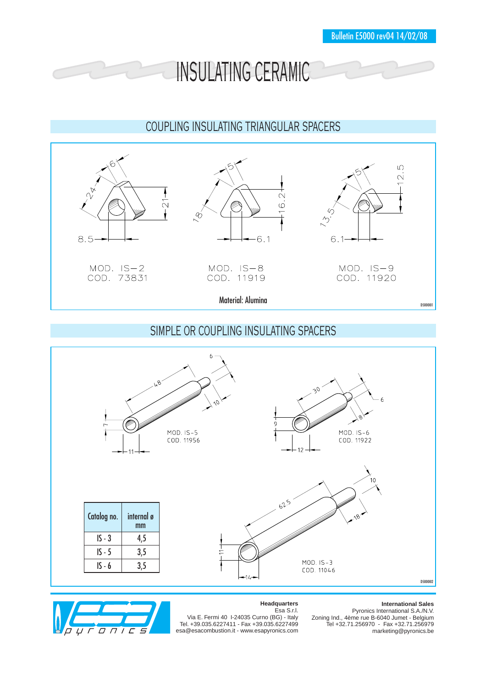INSULATING CERAMIC

## COUPLING INSULATING TRIANGULAR SPACERS



## SIMPLE OR COUPLING INSULATING SPACERS





## **Headquarters** Esa S.r.l.

## **International Sales**

Via E. Fermi 40 I-24035 Curno (BG) - Italy Tel. +39.035.6227411 - Fax +39.035.6227499 esa@esacombustion.it - www.esapyronics.com

Pyronics International S.A./N.V. Zoning Ind., 4ème rue B-6040 Jumet - Belgium Tel +32.71.256970 - Fax +32.71.256979 marketing@pyronics.be